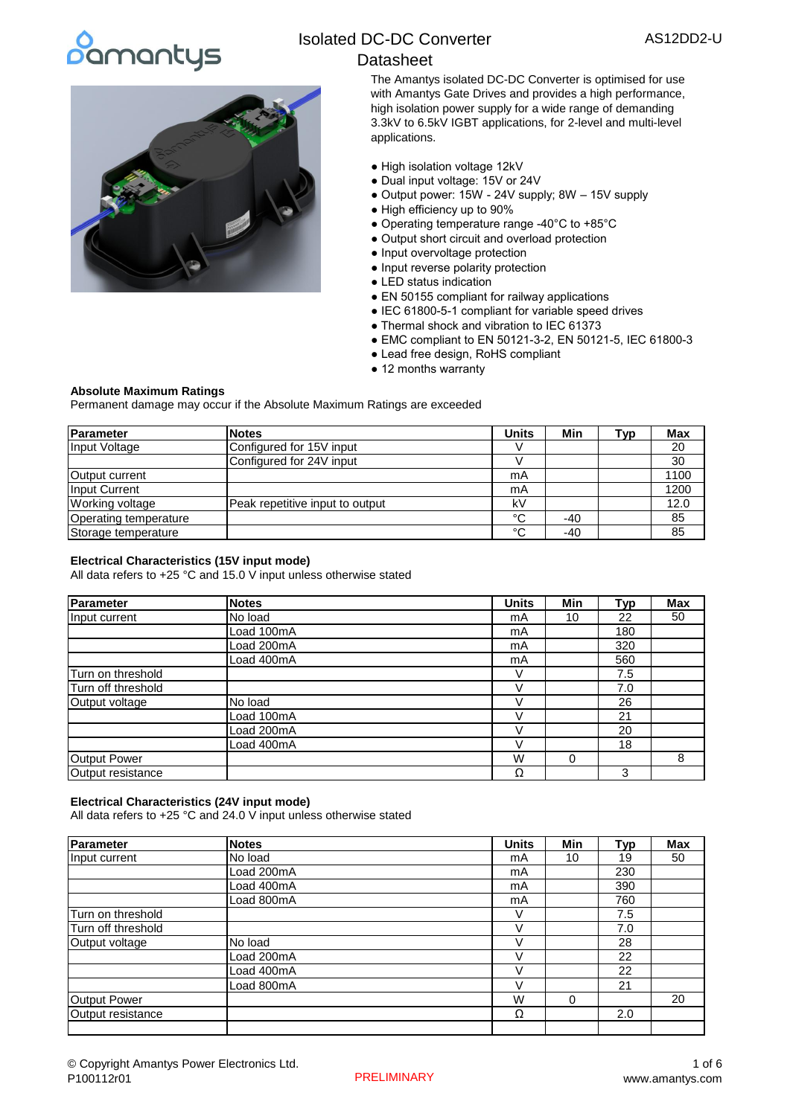# pamantys



## Isolated DC-DC Converter

## **Datasheet**

The Amantys isolated DC-DC Converter is optimised for use with Amantys Gate Drives and provides a high performance, high isolation power supply for a wide range of demanding 3.3kV to 6.5kV IGBT applications, for 2-level and multi-level applications.

- High isolation voltage 12kV
- Dual input voltage: 15V or 24V
- Output power: 15W 24V supply; 8W 15V supply
- High efficiency up to 90%
- Operating temperature range -40°C to +85°C
- Output short circuit and overload protection
- Input overvoltage protection
- Input reverse polarity protection
- LED status indication
- EN 50155 compliant for railway applications
- IEC 61800-5-1 compliant for variable speed drives
- Thermal shock and vibration to IEC 61373
- EMC compliant to EN 50121-3-2, EN 50121-5, IEC 61800-3
- Lead free design, RoHS compliant
- 12 months warranty

#### **Absolute Maximum Ratings**

Permanent damage may occur if the Absolute Maximum Ratings are exceeded

| Parameter              | <b>INotes</b>                   | <b>Units</b> | Min | Typ | <b>Max</b> |
|------------------------|---------------------------------|--------------|-----|-----|------------|
| Input Voltage          | Configured for 15V input        |              |     |     | 20         |
|                        | Configured for 24V input        |              |     |     | 30         |
| Output current         |                                 | mA           |     |     | 1100       |
| Input Current          |                                 | mA           |     |     | 1200       |
| <b>Working voltage</b> | Peak repetitive input to output | k۷           |     |     | 12.0       |
| Operating temperature  |                                 | $\sim$       | -40 |     | 85         |
| Storage temperature    |                                 | $\sim$       | -40 |     | 85         |

#### **Electrical Characteristics (15V input mode)**

All data refers to +25 °C and 15.0 V input unless otherwise stated

| <b>Parameter</b>   | <b>Notes</b> | <b>Units</b> | Min | Typ | <b>Max</b> |
|--------------------|--------------|--------------|-----|-----|------------|
| Input current      | No load      | mA           | 10  | 22  | 50         |
|                    | Load 100mA   | mA           |     | 180 |            |
|                    | Load 200mA   | mA           |     | 320 |            |
|                    | Load 400mA   | mA           |     | 560 |            |
| Turn on threshold  |              |              |     | 7.5 |            |
| Turn off threshold |              |              |     | 7.0 |            |
| Output voltage     | No load      |              |     | 26  |            |
|                    | Load 100mA   |              |     | 21  |            |
|                    | Load 200mA   |              |     | 20  |            |
|                    | Load 400mA   |              |     | 18  |            |
| Output Power       |              | W            | 0   |     | 8          |
| Output resistance  |              | Ω            |     | 3   |            |

#### **Electrical Characteristics (24V input mode)**

All data refers to +25 °C and 24.0 V input unless otherwise stated

| Parameter          | <b>Notes</b> | <b>Units</b> | Min      | Typ | <b>Max</b> |
|--------------------|--------------|--------------|----------|-----|------------|
| Input current      | No load      | mA           | 10       | 19  | 50         |
|                    | Load 200mA   | mA           |          | 230 |            |
|                    | Load 400mA   | mA           |          | 390 |            |
|                    | Load 800mA   | mA           |          | 760 |            |
| Turn on threshold  |              | v            |          | 7.5 |            |
| Turn off threshold |              | V            |          | 7.0 |            |
| Output voltage     | No load      |              |          | 28  |            |
|                    | Load 200mA   | V            |          | 22  |            |
|                    | Load 400mA   |              |          | 22  |            |
|                    | Load 800mA   |              |          | 21  |            |
| Output Power       |              | W            | $\Omega$ |     | 20         |
| Output resistance  |              | Ω            |          | 2.0 |            |
|                    |              |              |          |     |            |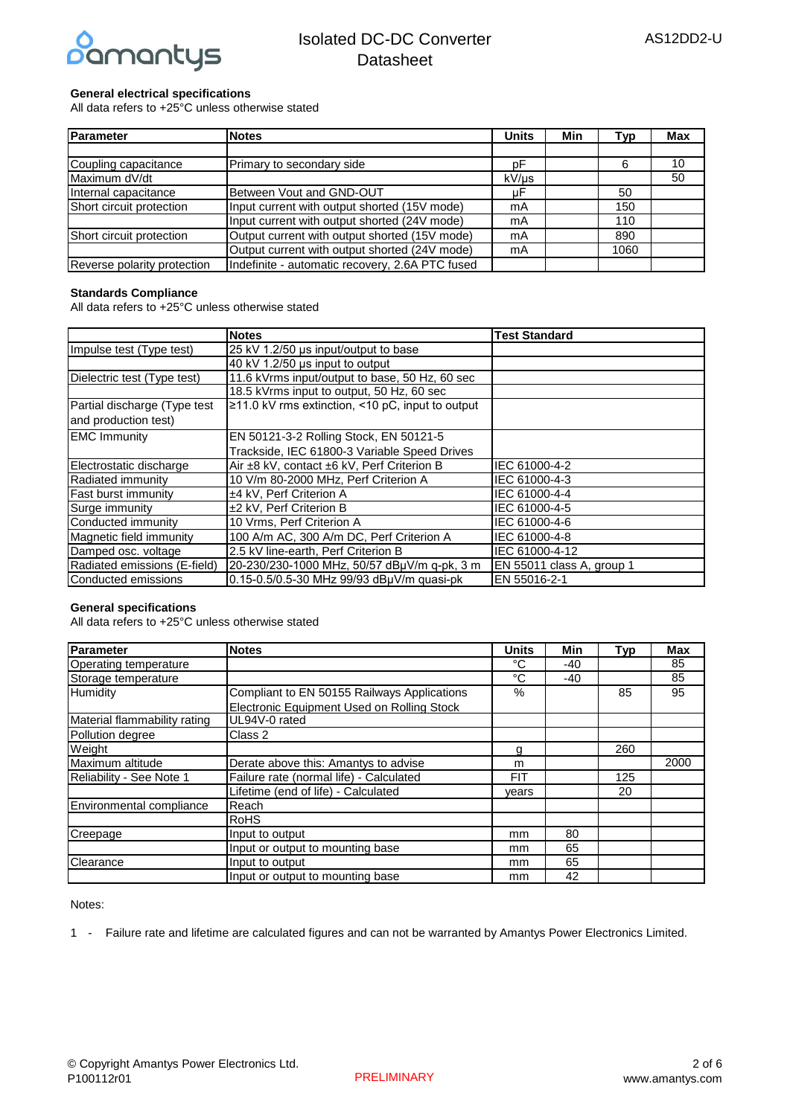

#### **General electrical specifications**

All data refers to +25°C unless otherwise stated

| Parameter                   | <b>Notes</b>                                    | <b>Units</b> | Min | Tvp  | <b>Max</b> |
|-----------------------------|-------------------------------------------------|--------------|-----|------|------------|
|                             |                                                 |              |     |      |            |
| Coupling capacitance        | Primary to secondary side                       | рF           |     | 6    | 10         |
| Maximum dV/dt               |                                                 | kV/µs        |     |      | 50         |
| Internal capacitance        | Between Vout and GND-OUT                        | μF           |     | 50   |            |
| Short circuit protection    | Input current with output shorted (15V mode)    | mA           |     | 150  |            |
|                             | Input current with output shorted (24V mode)    | mA           |     | 110  |            |
| Short circuit protection    | Output current with output shorted (15V mode)   | mA           |     | 890  |            |
|                             | Output current with output shorted (24V mode)   | mA           |     | 1060 |            |
| Reverse polarity protection | Indefinite - automatic recovery, 2.6A PTC fused |              |     |      |            |

#### **Standards Compliance**

All data refers to +25°C unless otherwise stated

|                              | <b>Notes</b>                                     | <b>Test Standard</b>      |
|------------------------------|--------------------------------------------------|---------------------------|
| Impulse test (Type test)     | 25 kV 1.2/50 µs input/output to base             |                           |
|                              | 40 kV 1.2/50 µs input to output                  |                           |
| Dielectric test (Type test)  | 11.6 kVrms input/output to base, 50 Hz, 60 sec   |                           |
|                              | 18.5 kVrms input to output, 50 Hz, 60 sec        |                           |
| Partial discharge (Type test | ≥11.0 kV rms extinction, <10 pC, input to output |                           |
| and production test)         |                                                  |                           |
| <b>EMC Immunity</b>          | EN 50121-3-2 Rolling Stock, EN 50121-5           |                           |
|                              | Trackside, IEC 61800-3 Variable Speed Drives     |                           |
| Electrostatic discharge      | Air ±8 kV, contact ±6 kV, Perf Criterion B       | IEC 61000-4-2             |
| Radiated immunity            | 10 V/m 80-2000 MHz, Perf Criterion A             | IEC 61000-4-3             |
| Fast burst immunity          | ±4 kV, Perf Criterion A                          | IEC 61000-4-4             |
| Surge immunity               | ±2 kV, Perf Criterion B                          | IEC 61000-4-5             |
| Conducted immunity           | 10 Vrms, Perf Criterion A                        | IEC 61000-4-6             |
| Magnetic field immunity      | 100 A/m AC, 300 A/m DC, Perf Criterion A         | IEC 61000-4-8             |
| Damped osc. voltage          | 2.5 kV line-earth, Perf Criterion B              | IEC 61000-4-12            |
| Radiated emissions (E-field) | 20-230/230-1000 MHz, 50/57 dBuV/m q-pk, 3 m      | EN 55011 class A, group 1 |
| Conducted emissions          | 0.15-0.5/0.5-30 MHz 99/93 dBuV/m quasi-pk        | EN 55016-2-1              |

#### **General specifications**

All data refers to +25°C unless otherwise stated

| Parameter                    | <b>Notes</b>                                | <b>Units</b> | Min | <b>Typ</b> | <b>Max</b> |
|------------------------------|---------------------------------------------|--------------|-----|------------|------------|
| <b>Operating temperature</b> |                                             | °C           | -40 |            | 85         |
| Storage temperature          |                                             | $^{\circ}C$  | -40 |            | 85         |
| Humidity                     | Compliant to EN 50155 Railways Applications | %            |     | 85         | 95         |
|                              | Electronic Equipment Used on Rolling Stock  |              |     |            |            |
| Material flammability rating | UL94V-0 rated                               |              |     |            |            |
| Pollution degree             | Class 2                                     |              |     |            |            |
| Weight                       |                                             | g            |     | 260        |            |
| Maximum altitude             | Derate above this: Amantys to advise        | m            |     |            | 2000       |
| Reliability - See Note 1     | Failure rate (normal life) - Calculated     | <b>FIT</b>   |     | 125        |            |
|                              | Lifetime (end of life) - Calculated         | vears        |     | 20         |            |
| Environmental compliance     | Reach                                       |              |     |            |            |
|                              | <b>RoHS</b>                                 |              |     |            |            |
| Creepage                     | Input to output                             | mm           | 80  |            |            |
|                              | Input or output to mounting base            | mm           | 65  |            |            |
| Clearance                    | Input to output                             | mm           | 65  |            |            |
|                              | Input or output to mounting base            | mm           | 42  |            |            |

Notes:

1 - Failure rate and lifetime are calculated figures and can not be warranted by Amantys Power Electronics Limited.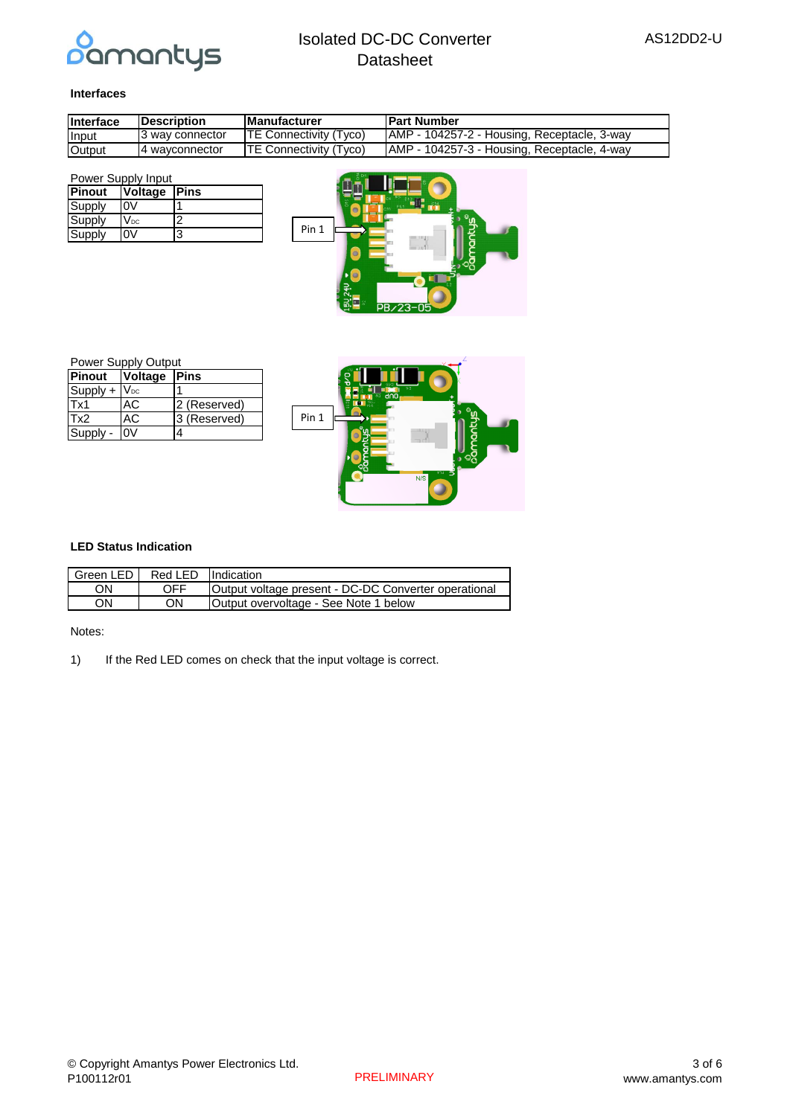

#### **Interfaces**

| Interface       | <b>IDescription</b> | <b>IManufacturer</b>           | <b>IPart Number</b>                          |
|-----------------|---------------------|--------------------------------|----------------------------------------------|
| Input           | I3 wav connector    | <b>ITE Connectivity (Tyco)</b> | TAMP - 104257-2 - Housing, Receptacle, 3-way |
| <b>I</b> Output | I4 wavconnector     | <b>TE Connectivity (Tyco)</b>  | AMP - 104257-3 - Housing, Receptacle, 4-way  |

| Power Supply Input |                            |   |  |  |
|--------------------|----------------------------|---|--|--|
| Pinout             | Voltage Pins               |   |  |  |
| Supply             |                            |   |  |  |
| Supply             | $\mathsf{V}_{\mathsf{DC}}$ | າ |  |  |
| Supply             |                            | 3 |  |  |

| Pin 1 | 품이<br>B<br>ă<br>C10<br>۰<br>൹<br>C <sub>2</sub><br>R |
|-------|------------------------------------------------------|
|       | PB/23-05                                             |

| <b>Power Supply Output</b> |                     |              |  |  |
|----------------------------|---------------------|--------------|--|--|
| <b>Pinout</b>              | <b>Voltage Pins</b> |              |  |  |
| Supply + VDC               |                     |              |  |  |
| Tx1                        | АC                  | 2 (Reserved) |  |  |
| Tx2                        | АC                  | 3 (Reserved) |  |  |
| Supply -                   |                     | 4            |  |  |



#### **LED Status Indication**

| Green LED I | Red LED Indication |                                                      |
|-------------|--------------------|------------------------------------------------------|
| ΟN          | OFF                | Output voltage present - DC-DC Converter operational |
| ON          | ΟN                 | Output overvoltage - See Note 1 below                |

 $\sqrt{2}$ 

Notes:

1) If the Red LED comes on check that the input voltage is correct.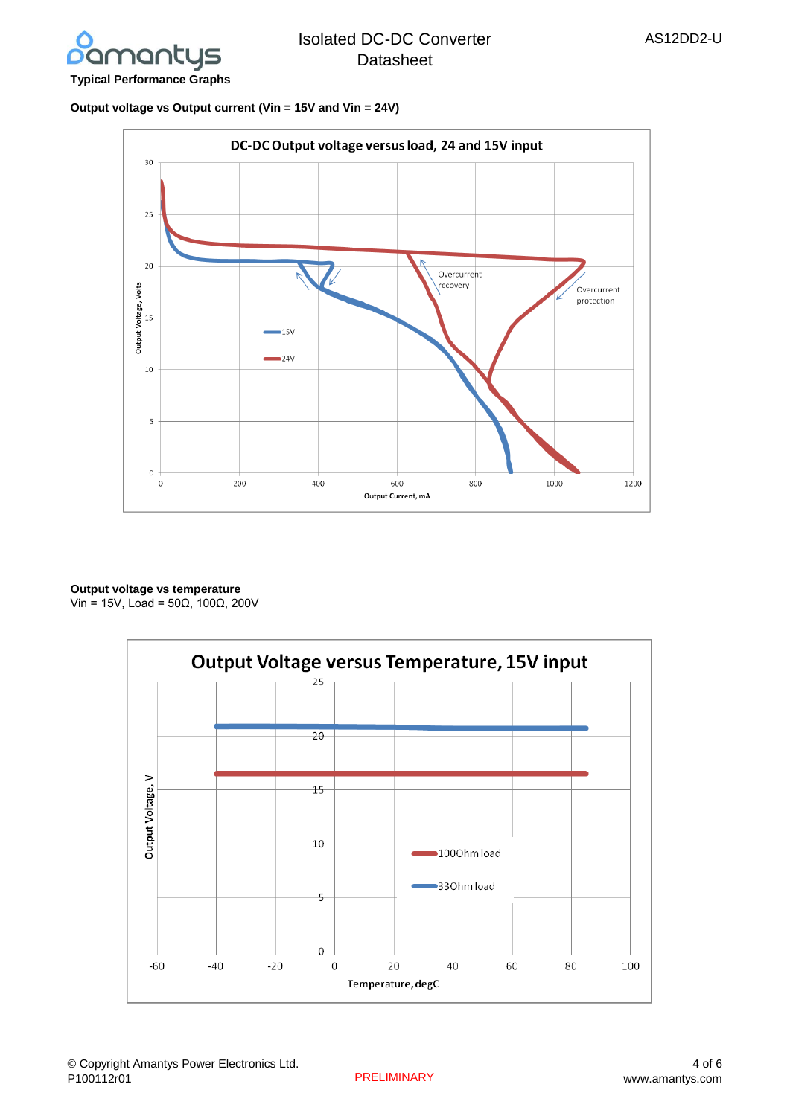

## **Output voltage vs Output current (Vin = 15V and Vin = 24V)**



## **Output voltage vs temperature**

Vin = 15V, Load = 50Ω, 100Ω, 200V

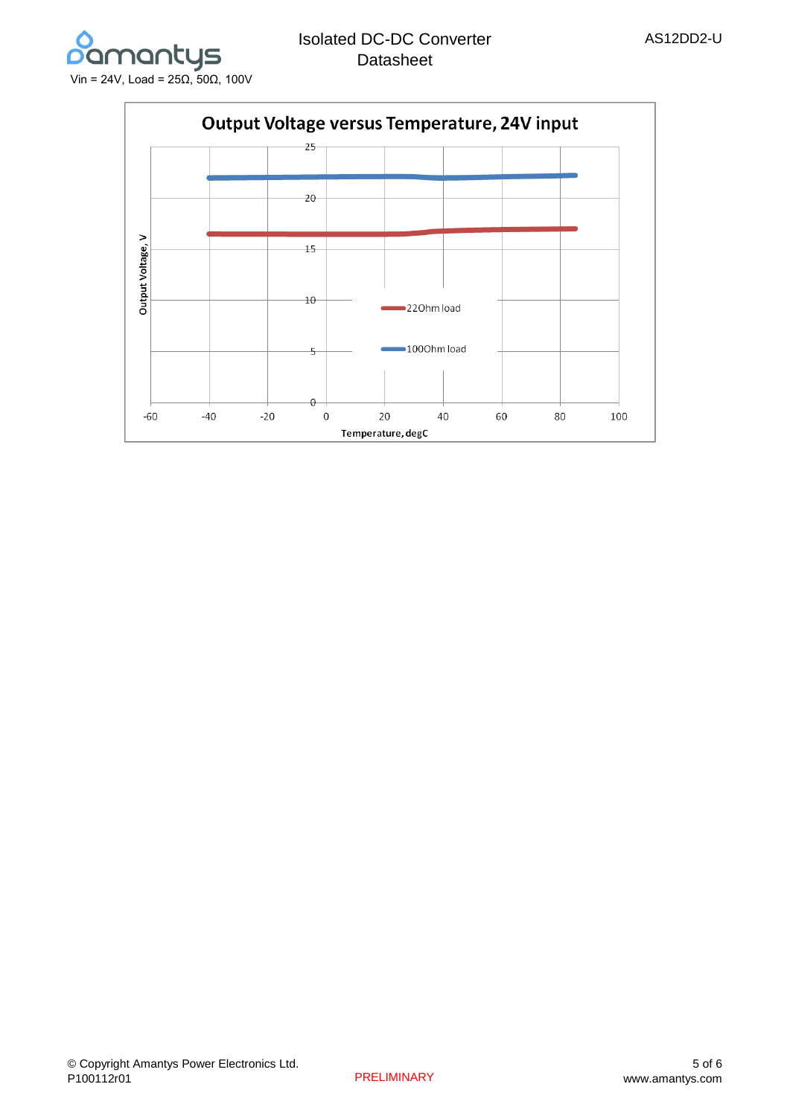